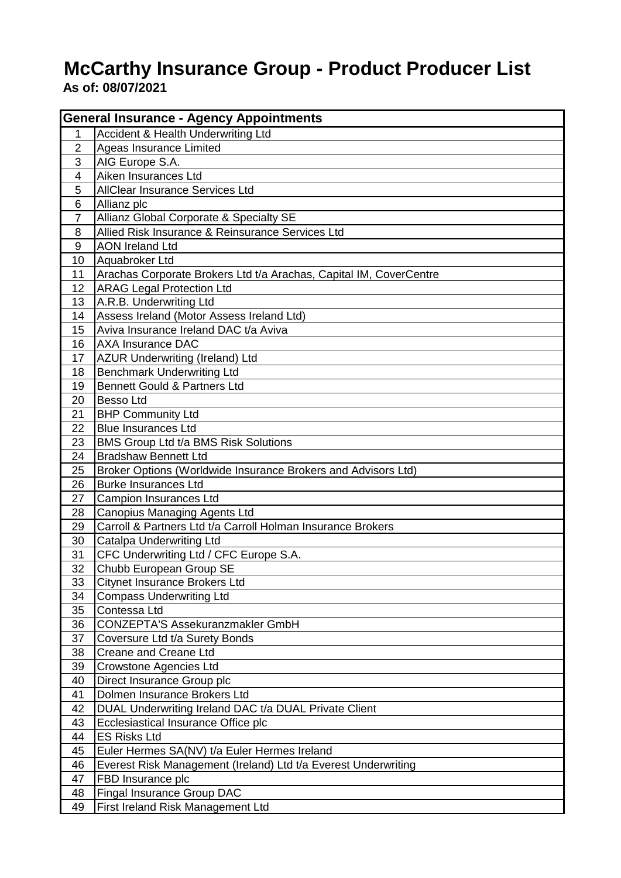## **McCarthy Insurance Group - Product Producer List As of: 08/07/2021**

| <b>General Insurance - Agency Appointments</b> |                                                                    |  |
|------------------------------------------------|--------------------------------------------------------------------|--|
| 1                                              | Accident & Health Underwriting Ltd                                 |  |
| $\boldsymbol{2}$                               | Ageas Insurance Limited                                            |  |
| 3                                              | AIG Europe S.A.                                                    |  |
| $\overline{4}$                                 | Aiken Insurances Ltd                                               |  |
| 5                                              | AllClear Insurance Services Ltd                                    |  |
| 6                                              | Allianz plc                                                        |  |
| $\overline{7}$                                 | Allianz Global Corporate & Specialty SE                            |  |
| 8                                              | Allied Risk Insurance & Reinsurance Services Ltd                   |  |
| 9                                              | <b>AON Ireland Ltd</b>                                             |  |
| 10                                             | Aquabroker Ltd                                                     |  |
| 11                                             | Arachas Corporate Brokers Ltd t/a Arachas, Capital IM, CoverCentre |  |
| 12                                             | <b>ARAG Legal Protection Ltd</b>                                   |  |
| 13                                             | A.R.B. Underwriting Ltd                                            |  |
| 14                                             | Assess Ireland (Motor Assess Ireland Ltd)                          |  |
| 15                                             | Aviva Insurance Ireland DAC t/a Aviva                              |  |
| 16                                             | <b>AXA Insurance DAC</b>                                           |  |
| 17                                             | AZUR Underwriting (Ireland) Ltd                                    |  |
| 18                                             | <b>Benchmark Underwriting Ltd</b>                                  |  |
| 19                                             | <b>Bennett Gould &amp; Partners Ltd</b>                            |  |
| 20                                             | <b>Besso Ltd</b>                                                   |  |
| 21                                             | <b>BHP Community Ltd</b>                                           |  |
| 22                                             | <b>Blue Insurances Ltd</b>                                         |  |
| 23                                             | BMS Group Ltd t/a BMS Risk Solutions                               |  |
| 24                                             | <b>Bradshaw Bennett Ltd</b>                                        |  |
| 25                                             | Broker Options (Worldwide Insurance Brokers and Advisors Ltd)      |  |
| 26                                             | <b>Burke Insurances Ltd</b>                                        |  |
| 27                                             | Campion Insurances Ltd                                             |  |
| 28                                             | <b>Canopius Managing Agents Ltd</b>                                |  |
| 29                                             | Carroll & Partners Ltd t/a Carroll Holman Insurance Brokers        |  |
| 30                                             | <b>Catalpa Underwriting Ltd</b>                                    |  |
| 31                                             | CFC Underwriting Ltd / CFC Europe S.A.                             |  |
| 32                                             | Chubb European Group SE                                            |  |
| 33                                             | Citynet Insurance Brokers Ltd                                      |  |
| 34                                             | <b>Compass Underwriting Ltd</b>                                    |  |
| 35                                             | Contessa Ltd                                                       |  |
| 36                                             | <b>CONZEPTA'S Assekuranzmakler GmbH</b>                            |  |
| 37                                             | Coversure Ltd t/a Surety Bonds                                     |  |
| 38                                             | Creane and Creane Ltd                                              |  |
| 39                                             | Crowstone Agencies Ltd                                             |  |
| 40                                             | Direct Insurance Group plc                                         |  |
| 41                                             | Dolmen Insurance Brokers Ltd                                       |  |
| 42                                             | DUAL Underwriting Ireland DAC t/a DUAL Private Client              |  |
| 43                                             | Ecclesiastical Insurance Office plc                                |  |
| 44                                             | <b>ES Risks Ltd</b>                                                |  |
| 45                                             | Euler Hermes SA(NV) t/a Euler Hermes Ireland                       |  |
| 46                                             | Everest Risk Management (Ireland) Ltd t/a Everest Underwriting     |  |
| 47                                             | FBD Insurance plc                                                  |  |
| 48                                             | Fingal Insurance Group DAC                                         |  |
| 49                                             | First Ireland Risk Management Ltd                                  |  |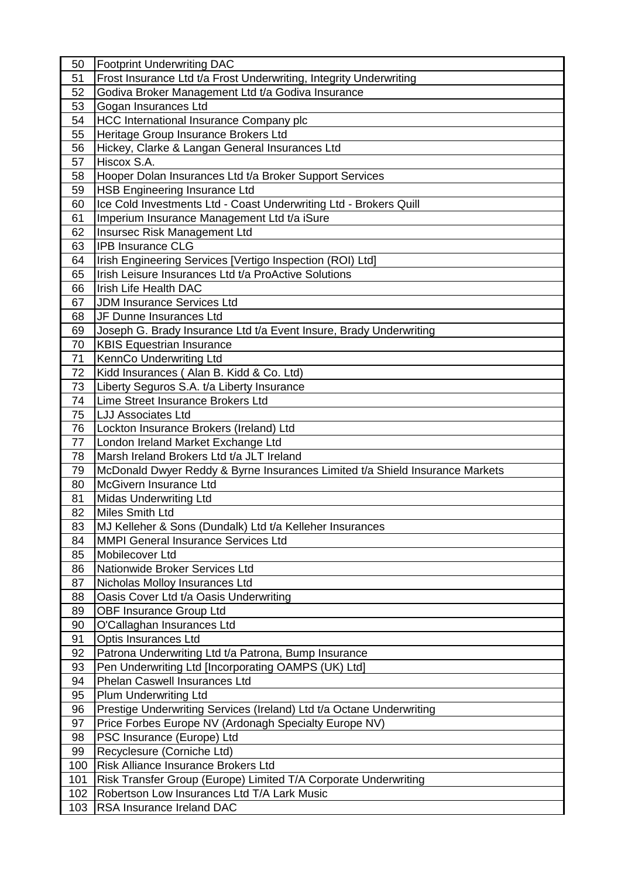| 50         | <b>Footprint Underwriting DAC</b>                                            |
|------------|------------------------------------------------------------------------------|
| 51         | Frost Insurance Ltd t/a Frost Underwriting, Integrity Underwriting           |
| 52         | Godiva Broker Management Ltd t/a Godiva Insurance                            |
| 53         | Gogan Insurances Ltd                                                         |
| 54         | HCC International Insurance Company plc                                      |
| 55         | Heritage Group Insurance Brokers Ltd                                         |
| 56         | Hickey, Clarke & Langan General Insurances Ltd                               |
| 57         | Hiscox S.A.                                                                  |
| 58         | Hooper Dolan Insurances Ltd t/a Broker Support Services                      |
| 59         | HSB Engineering Insurance Ltd                                                |
| 60         | Ice Cold Investments Ltd - Coast Underwriting Ltd - Brokers Quill            |
| 61         | Imperium Insurance Management Ltd t/a iSure                                  |
| 62         | Insursec Risk Management Ltd                                                 |
| 63         | <b>IPB Insurance CLG</b>                                                     |
| 64         | Irish Engineering Services [Vertigo Inspection (ROI) Ltd]                    |
| 65         | Irish Leisure Insurances Ltd t/a ProActive Solutions                         |
| 66         | Irish Life Health DAC                                                        |
| 67         | <b>JDM Insurance Services Ltd</b>                                            |
| 68         | JF Dunne Insurances Ltd                                                      |
| 69         | Joseph G. Brady Insurance Ltd t/a Event Insure, Brady Underwriting           |
| 70         | <b>KBIS Equestrian Insurance</b>                                             |
| 71         | KennCo Underwriting Ltd                                                      |
| 72         | Kidd Insurances (Alan B. Kidd & Co. Ltd)                                     |
| 73         | Liberty Seguros S.A. t/a Liberty Insurance                                   |
| 74         | Lime Street Insurance Brokers Ltd                                            |
| 75         | <b>LJJ Associates Ltd</b>                                                    |
| 76         | Lockton Insurance Brokers (Ireland) Ltd                                      |
| 77         | London Ireland Market Exchange Ltd                                           |
|            |                                                                              |
|            |                                                                              |
| 78         | Marsh Ireland Brokers Ltd t/a JLT Ireland                                    |
| 79         | McDonald Dwyer Reddy & Byrne Insurances Limited t/a Shield Insurance Markets |
| 80         | McGivern Insurance Ltd                                                       |
| 81         | <b>Midas Underwriting Ltd</b>                                                |
| 82         | Miles Smith Ltd                                                              |
| 83         | MJ Kelleher & Sons (Dundalk) Ltd t/a Kelleher Insurances                     |
| 84         | <b>MMPI General Insurance Services Ltd</b>                                   |
| 85         | Mobilecover Ltd                                                              |
| 86         | Nationwide Broker Services Ltd                                               |
| 87         | Nicholas Molloy Insurances Ltd                                               |
| 88         | Oasis Cover Ltd t/a Oasis Underwriting                                       |
| 89         | <b>OBF Insurance Group Ltd</b>                                               |
| 90         | O'Callaghan Insurances Ltd                                                   |
| 91         | Optis Insurances Ltd                                                         |
| 92         | Patrona Underwriting Ltd t/a Patrona, Bump Insurance                         |
| 93         | Pen Underwriting Ltd [Incorporating OAMPS (UK) Ltd]                          |
| 94         | <b>Phelan Caswell Insurances Ltd</b>                                         |
| 95         | <b>Plum Underwriting Ltd</b>                                                 |
| 96         | Prestige Underwriting Services (Ireland) Ltd t/a Octane Underwriting         |
| 97         | Price Forbes Europe NV (Ardonagh Specialty Europe NV)                        |
| 98         | PSC Insurance (Europe) Ltd                                                   |
| 99         | Recyclesure (Corniche Ltd)                                                   |
| 100        | Risk Alliance Insurance Brokers Ltd                                          |
| 101        | Risk Transfer Group (Europe) Limited T/A Corporate Underwriting              |
| 102<br>103 | Robertson Low Insurances Ltd T/A Lark Music<br>RSA Insurance Ireland DAC     |